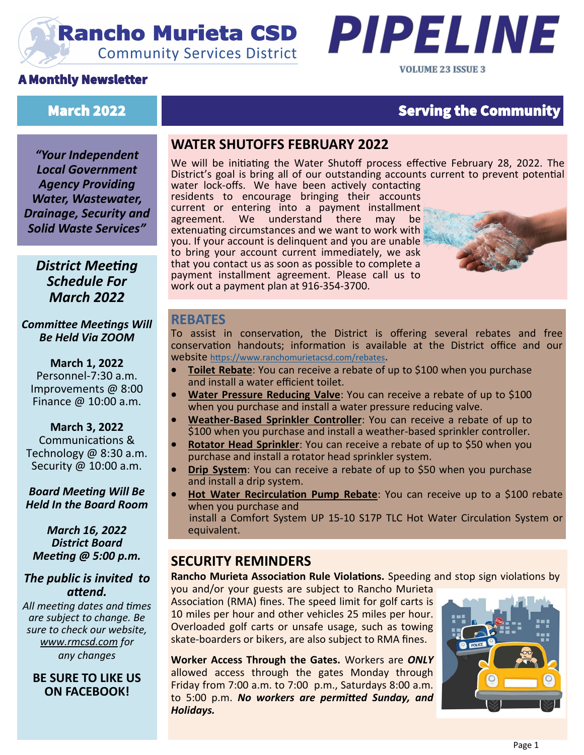# **Rancho Murieta CSD Community Services District**

#### A Monthly Newsletter





# March 2022 **Serving the Community**

*"Your Independent Local Government Agency Providing Water, Wastewater, Drainage, Security and Solid Waste Services"*

#### *District Meeting Schedule For March 2022*

*Committee Meetings Will Be Held Via ZOOM*

**March 1, 2022** Personnel-7:30 a.m. Improvements @ 8:00 Finance @ 10:00 a.m.

**March 3, 2022** Communications & Technology @ 8:30 a.m. Security @ 10:00 a.m.

*Board Meeting Will Be Held In the Board Room* 

#### *March 16, 2022 District Board Meeting @ 5:00 p.m.*

#### *The public is invited to attend.*

*All meeting dates and times are subject to change. Be sure to check our website, [www.rmcsd.com](http://www.rmcsd.com) for any changes*

**BE SURE TO LIKE US ON FACEBOOK!**

#### **WATER SHUTOFFS FEBRUARY 2022**

We will be initiating the Water Shutoff process effective February 28, 2022. The District's goal is bring all of our outstanding accounts current to prevent potential water lock-offs. We have been actively contacting

residents to encourage bringing their accounts current or entering into a payment installment<br>agreement. We understand there may be agreement. We understand there may extenuating circumstances and we want to work with you. If your account is delinquent and you are unable to bring your account current immediately, we ask that you contact us as soon as possible to complete a payment installment agreement. Please call us to work out a payment plan at 916-354-3700.



#### **REBATES**

To assist in conservation, the District is offering several rebates and free conservation handouts; information is available at the District office and our website <https://www.ranchomurietacsd.com/rebates>.

- **Toilet Rebate**: You can receive a rebate of up to \$100 when you purchase and install a water efficient toilet.
- **Water Pressure Reducing Valve**: You can receive a rebate of up to \$100 when you purchase and install a water pressure reducing valve.
- **Weather-Based Sprinkler Controller**: You can receive a rebate of up to \$100 when you purchase and install a weather-based sprinkler controller.
- **Rotator Head Sprinkler**: You can receive a rebate of up to \$50 when you purchase and install a rotator head sprinkler system.
- **Drip System:** You can receive a rebate of up to \$50 when you purchase and install a drip system.
- **Hot Water Recirculation Pump Rebate**: You can receive up to a \$100 rebate when you purchase and
	- install a Comfort System UP 15-10 S17P TLC Hot Water Circulation System or equivalent.

#### **SECURITY REMINDERS**

#### **Rancho Murieta Association Rule Violations.** Speeding and stop sign violations by

you and/or your guests are subject to Rancho Murieta Association (RMA) fines. The speed limit for golf carts is 10 miles per hour and other vehicles 25 miles per hour. Overloaded golf carts or unsafe usage, such as towing skate-boarders or bikers, are also subject to RMA fines.

**Worker Access Through the Gates.** Workers are *ONLY* allowed access through the gates Monday through Friday from 7:00 a.m. to 7:00 p.m., Saturdays 8:00 a.m. to 5:00 p.m. *No workers are permitted Sunday, and Holidays.*

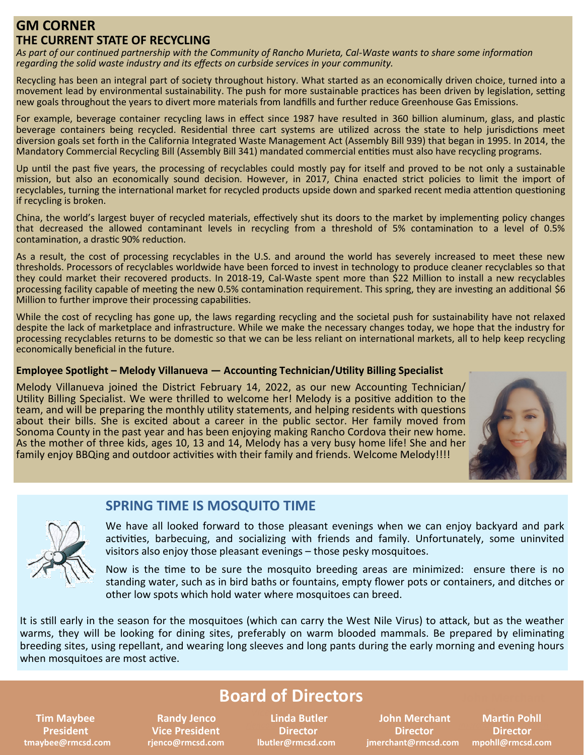#### **GM CORNER THE CURRENT STATE OF RECYCLING**

*As part of our continued partnership with the Community of Rancho Murieta, Cal-Waste wants to share some information regarding the solid waste industry and its effects on curbside services in your community.* 

Recycling has been an integral part of society throughout history. What started as an economically driven choice, turned into a movement lead by environmental sustainability. The push for more sustainable practices has been driven by legislation, setting new goals throughout the years to divert more materials from landfills and further reduce Greenhouse Gas Emissions.

For example, beverage container recycling laws in effect since 1987 have resulted in 360 billion aluminum, glass, and plastic beverage containers being recycled. Residential three cart systems are utilized across the state to help jurisdictions meet diversion goals set forth in the California Integrated Waste Management Act (Assembly Bill 939) that began in 1995. In 2014, the Mandatory Commercial Recycling Bill (Assembly Bill 341) mandated commercial entities must also have recycling programs.

Up until the past five years, the processing of recyclables could mostly pay for itself and proved to be not only a sustainable mission, but also an economically sound decision. However, in 2017, China enacted strict policies to limit the import of recyclables, turning the international market for recycled products upside down and sparked recent media attention questioning if recycling is broken.

China, the world's largest buyer of recycled materials, effectively shut its doors to the market by implementing policy changes that decreased the allowed contaminant levels in recycling from a threshold of 5% contamination to a level of 0.5% contamination, a drastic 90% reduction.

As a result, the cost of processing recyclables in the U.S. and around the world has severely increased to meet these new thresholds. Processors of recyclables worldwide have been forced to invest in technology to produce cleaner recyclables so that they could market their recovered products. In 2018-19, Cal-Waste spent more than \$22 Million to install a new recyclables processing facility capable of meeting the new 0.5% contamination requirement. This spring, they are investing an additional \$6 Million to further improve their processing capabilities.

While the cost of recycling has gone up, the laws regarding recycling and the societal push for sustainability have not relaxed despite the lack of marketplace and infrastructure. While we make the necessary changes today, we hope that the industry for processing recyclables returns to be domestic so that we can be less reliant on international markets, all to help keep recycling economically beneficial in the future.

#### **Employee Spotlight – Melody Villanueva — Accounting Technician/Utility Billing Specialist**

Melody Villanueva joined the District February 14, 2022, as our new Accounting Technician/ Utility Billing Specialist. We were thrilled to welcome her! Melody is a positive addition to the team, and will be preparing the monthly utility statements, and helping residents with questions about their bills. She is excited about a career in the public sector. Her family moved from Sonoma County in the past year and has been enjoying making Rancho Cordova their new home. As the mother of three kids, ages 10, 13 and 14, Melody has a very busy home life! She and her family enjoy BBQing and outdoor activities with their family and friends. Welcome Melody!!!!





#### **SPRING TIME IS MOSQUITO TIME**

We have all looked forward to those pleasant evenings when we can enjoy backyard and park activities, barbecuing, and socializing with friends and family. Unfortunately, some uninvited visitors also enjoy those pleasant evenings – those pesky mosquitoes.

Now is the time to be sure the mosquito breeding areas are minimized: ensure there is no standing water, such as in bird baths or fountains, empty flower pots or containers, and ditches or other low spots which hold water where mosquitoes can breed.

It is still early in the season for the mosquitoes (which can carry the West Nile Virus) to attack, but as the weather warms, they will be looking for dining sites, preferably on warm blooded mammals. Be prepared by eliminating breeding sites, using repellant, and wearing long sleeves and long pants during the early morning and evening hours when mosquitoes are most active.

# **Board of Directors**

**Linda Butler Director** 

 **Tim Maybee Randy Jenco Linda Butler and Duman Merchant President Vice President Director Director Director tmaybee@rmcsd.com rjenco@rmcsd.com lbutler@rmcsd.com jmerchant@rmcsd.com mpohll@rmcsd.com**

**Martin Pohll** Director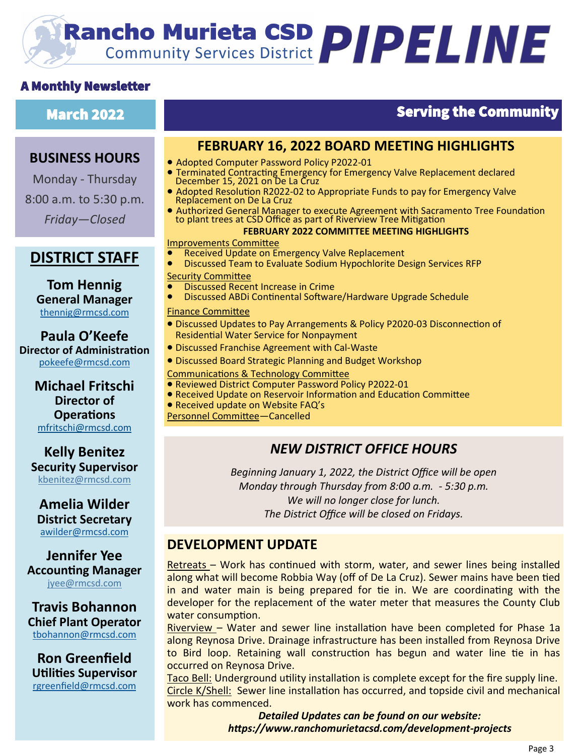# **Rancho Murieta CSD PIPELINE**

#### A Monthly Newsletter

#### **BUSINESS HOURS**

Monday - Thursday 8:00 a.m. to 5:30 p.m. *Friday—Closed*

## **DISTRICT STAFF**

**Tom Hennig General Manager** [thennig@rmcsd.com](mailto:thennig@rmcsd.com)

**Paula O'Keefe Director of Administration** pokeefe@rmcsd.com

**Michael Fritschi Director of Operations** mfritschi@rmcsd.com

**Kelly Benitez Security Supervisor** kbenitez@rmcsd.com

#### **Amelia Wilder District Secretary** [awilder@rmcsd.com](mailto:jwerblun@rmcsd.com)

**Jennifer Yee Accounting Manager** jyee@rmcsd.com

#### **Travis Bohannon Chief Plant Operator** [tbohannon@rmcsd.com](mailto:tbohannon@rmcsd.com)

**Ron Greenfield Utilities Supervisor** [rgreenfield@rmcsd.com](mailto:tbohannon@rmcsd.com)

# March 2022 Serving the Community

#### **FEBRUARY 16, 2022 BOARD MEETING HIGHLIGHTS**

- Adopted Computer Password Policy P2022-01
- Terminated Contracting Emergency for Emergency Valve Replacement declared December 15, 2021 on De La Cruz
- Adopted Resolution R2022-02 to Appropriate Funds to pay for Emergency Valve Replacement on De La Cruz
- Authorized General Manager to execute Agreement with Sacramento Tree Foundation to plant trees at CSD Office as part of Riverview Tree Mitigation

#### **FEBRUARY 2022 COMMITTEE MEETING HIGHLIGHTS**

# r**EBNUA**<br><u>Improvements Committee</u>

- Received Update on Emergency Valve Replacement
- Discussed Team to Evaluate Sodium Hypochlorite Design Services RFP Security Committee
- Discussed Recent Increase in Crime
- Discussed ABDi Continental Software/Hardware Upgrade Schedule  $\bullet$

#### Finance Committee

- Discussed Updates to Pay Arrangements & Policy P2020-03 Disconnection of Residential Water Service for Nonpayment
- Discussed Franchise Agreement with Cal-Waste
- Discussed Board Strategic Planning and Budget Workshop
- Communications & Technology Committee
- Reviewed District Computer Password Policy P2022-01
- Received Update on Reservoir Information and Education Committee
- Received update on Website FAQ's

Personnel Committee—Cancelled

### *NEW DISTRICT OFFICE HOURS*

*Beginning January 1, 2022, the District Office will be open Monday through Thursday from 8:00 a.m. - 5:30 p.m. We will no longer close for lunch. The District Office will be closed on Fridays.*

#### **DEVELOPMENT UPDATE**

Retreats – Work has continued with storm, water, and sewer lines being installed along what will become Robbia Way (off of De La Cruz). Sewer mains have been tied in and water main is being prepared for tie in. We are coordinating with the developer for the replacement of the water meter that measures the County Club water consumption.

Riverview – Water and sewer line installation have been completed for Phase 1a along Reynosa Drive. Drainage infrastructure has been installed from Reynosa Drive to Bird loop. Retaining wall construction has begun and water line tie in has occurred on Reynosa Drive.

Taco Bell: Underground utility installation is complete except for the fire supply line. Circle K/Shell: Sewer line installation has occurred, and topside civil and mechanical work has commenced.

> *Detailed Updates can be found on our website: https://www.ranchomurietacsd.com/development-projects*